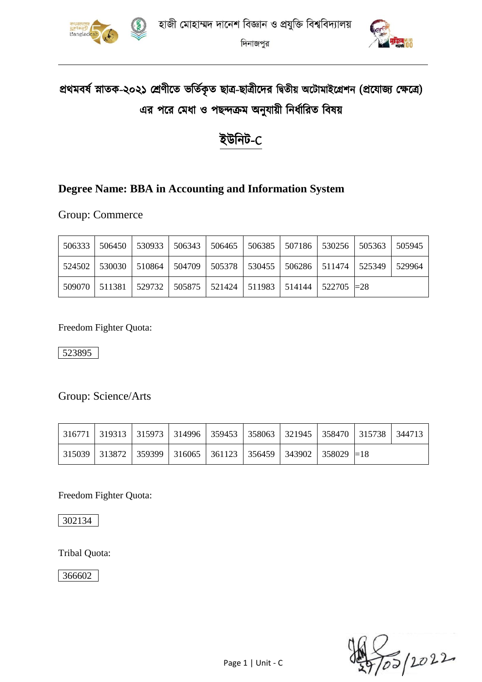

দিনাজপুর



# প্রথমবর্ষ স্নাতক-২০২১ শ্রেণীতে ভর্তিকৃত ছাত্র-ছাত্রীদের দ্বিতীয় অটোমাইগ্রেশন (প্রযোজ্য ক্ষেত্রে) এর পরে মেধা ও পছন্দক্রম অনুযায়ী নির্ধারিত বিষয়

## ইউনিট-C

### **Degree Name: BBA in Accounting and Information System**

Group: Commerce

| 506333 | $\mid$ 506450 $\mid$ 530933 $\mid$ 506343 $\mid$ 506465 $\mid$                      |  | 506385 507186 530256 505363 |  | 505945 |
|--------|-------------------------------------------------------------------------------------|--|-----------------------------|--|--------|
|        | 524502   530030   510864   504709   505378   530455   506286   511474   525349      |  |                             |  | 529964 |
|        | $509070$   511381   529732   505875   521424   511983   514144   522705   $\approx$ |  |                             |  |        |

Freedom Fighter Quota:

523895

Group: Science/Arts

|  | 316771   319313   315973   314996   359453   358063   321945   358470   315738   344713 |  |  |  |  |
|--|-----------------------------------------------------------------------------------------|--|--|--|--|
|  | 315039   313872   359399   316065   361123   356459   343902   358029 $\equiv$ 18       |  |  |  |  |

Freedom Fighter Quota:

302134

Tribal Quota:

366602

)<br>To5 | 2022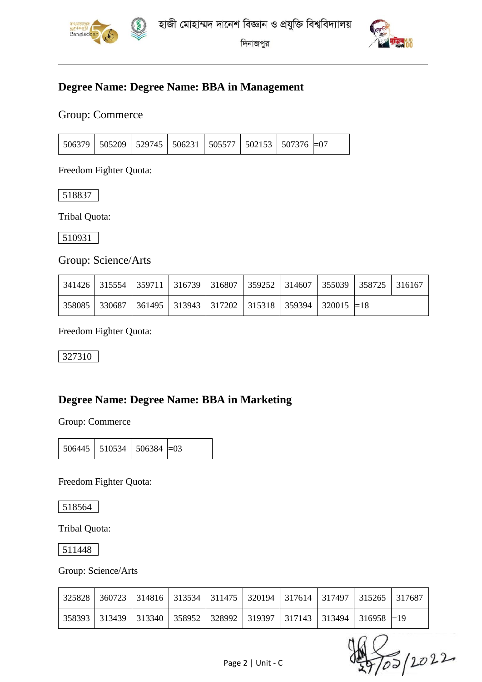

দিনাজপুর



#### **Degree Name: Degree Name: BBA in Management**

Group: Commerce

|  | 506379   505209   529745   506231   505577   502153   507376  =07 |  |  |  |  |  |  |
|--|-------------------------------------------------------------------|--|--|--|--|--|--|
|--|-------------------------------------------------------------------|--|--|--|--|--|--|

Freedom Fighter Quota:

518837

Tribal Quota:

510931

Group: Science/Arts

|  | 341426   315554   359711   316739   316807   359252   314607   355039   358725   316167 |  |  |  |  |
|--|-----------------------------------------------------------------------------------------|--|--|--|--|
|  | 358085   330687   361495   313943   317202   315318   359394   320015   = 18            |  |  |  |  |

Freedom Fighter Quota:

327310

#### **Degree Name: Degree Name: BBA in Marketing**

Group: Commerce

|  | $506445$   510534   506384   $=$ 03 |  |  |
|--|-------------------------------------|--|--|
|--|-------------------------------------|--|--|

Freedom Fighter Quota:

518564

Tribal Quota:

511448

Group: Science/Arts

|  |  |  | 325828   360723   314816   313534   311475   320194   317614   317497   315265   317687 |  |
|--|--|--|-----------------------------------------------------------------------------------------|--|
|  |  |  | 358393   313439   313340   358952   328992   319397   317143   313494   316958  =19     |  |

20022